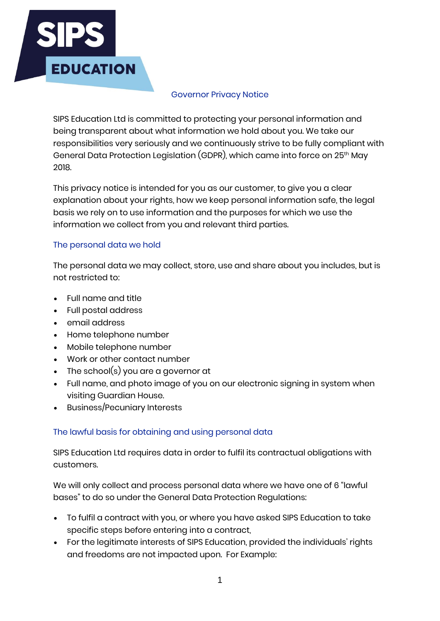

#### Governor Privacy Notice

SIPS Education Ltd is committed to protecting your personal information and being transparent about what information we hold about you. We take our responsibilities very seriously and we continuously strive to be fully compliant with General Data Protection Legislation (GDPR), which came into force on 25th May 2018.

This privacy notice is intended for you as our customer, to give you a clear explanation about your rights, how we keep personal information safe, the legal basis we rely on to use information and the purposes for which we use the information we collect from you and relevant third parties.

### The personal data we hold

The personal data we may collect, store, use and share about you includes, but is not restricted to:

- Full name and title
- Full postal address
- email address
- Home telephone number
- Mobile telephone number
- Work or other contact number
- The school(s) you are a governor at
- Full name, and photo image of you on our electronic signing in system when visiting Guardian House.
- Business/Pecuniary Interests

# The lawful basis for obtaining and using personal data

SIPS Education Ltd requires data in order to fulfil its contractual obligations with customers.

We will only collect and process personal data where we have one of 6 "lawful bases" to do so under the General Data Protection Regulations:

- To fulfil a contract with you, or where you have asked SIPS Education to take specific steps before entering into a contract,
- For the legitimate interests of SIPS Education, provided the individuals' rights and freedoms are not impacted upon. For Example: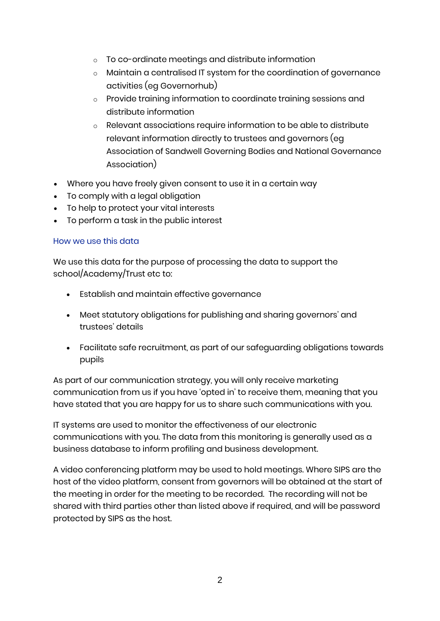- o To co-ordinate meetings and distribute information
- o Maintain a centralised IT system for the coordination of governance activities (eg Governorhub)
- o Provide training information to coordinate training sessions and distribute information
- o Relevant associations require information to be able to distribute relevant information directly to trustees and governors (eg Association of Sandwell Governing Bodies and National Governance Association)
- Where you have freely given consent to use it in a certain way
- To comply with a legal obligation
- To help to protect your vital interests
- To perform a task in the public interest

### How we use this data

We use this data for the purpose of processing the data to support the school/Academy/Trust etc to:

- Establish and maintain effective governance
- Meet statutory obligations for publishing and sharing governors' and trustees' details
- Facilitate safe recruitment, as part of our safeguarding obligations towards pupils

As part of our communication strategy, you will only receive marketing communication from us if you have 'opted in' to receive them, meaning that you have stated that you are happy for us to share such communications with you.

IT systems are used to monitor the effectiveness of our electronic communications with you. The data from this monitoring is generally used as a business database to inform profiling and business development.

A video conferencing platform may be used to hold meetings. Where SIPS are the host of the video platform, consent from governors will be obtained at the start of the meeting in order for the meeting to be recorded. The recording will not be shared with third parties other than listed above if required, and will be password protected by SIPS as the host.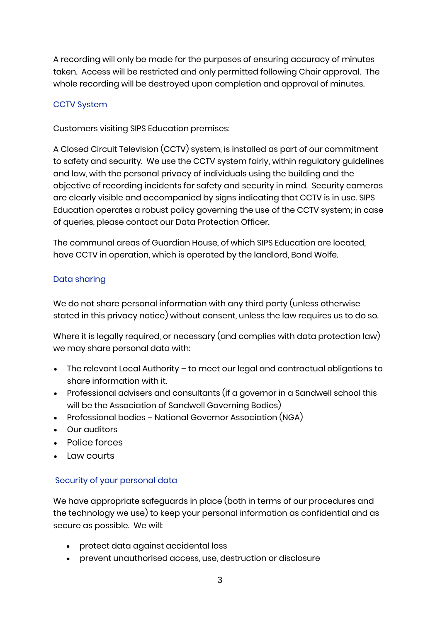A recording will only be made for the purposes of ensuring accuracy of minutes taken. Access will be restricted and only permitted following Chair approval. The whole recording will be destroyed upon completion and approval of minutes.

### CCTV System

Customers visiting SIPS Education premises:

A Closed Circuit Television (CCTV) system, is installed as part of our commitment to safety and security. We use the CCTV system fairly, within regulatory guidelines and law, with the personal privacy of individuals using the building and the objective of recording incidents for safety and security in mind. Security cameras are clearly visible and accompanied by signs indicating that CCTV is in use. SIPS Education operates a robust policy governing the use of the CCTV system; in case of queries, please contact our Data Protection Officer.

The communal areas of Guardian House, of which SIPS Education are located, have CCTV in operation, which is operated by the landlord, Bond Wolfe.

# Data sharing

We do not share personal information with any third party (unless otherwise stated in this privacy notice) without consent, unless the law requires us to do so.

Where it is legally required, or necessary (and complies with data protection law) we may share personal data with:

- The relevant Local Authority to meet our legal and contractual obligations to share information with it.
- Professional advisers and consultants (if a governor in a Sandwell school this will be the Association of Sandwell Governing Bodies)
- Professional bodies National Governor Association (NGA)
- Our auditors
- Police forces
- Law courts

# Security of your personal data

We have appropriate safeguards in place (both in terms of our procedures and the technology we use) to keep your personal information as confidential and as secure as possible. We will:

- protect data against accidental loss
- prevent unauthorised access, use, destruction or disclosure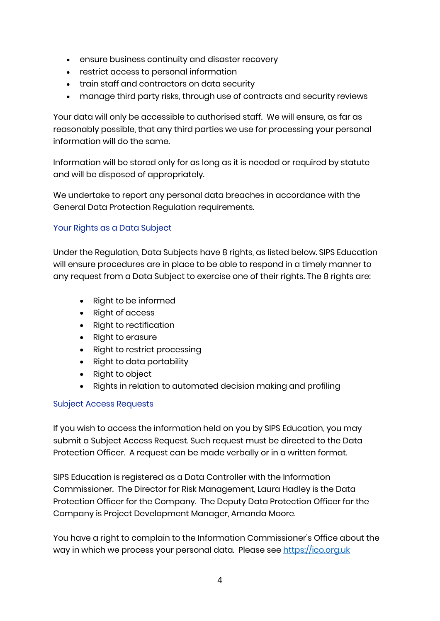- ensure business continuity and disaster recovery
- restrict access to personal information
- train staff and contractors on data security
- manage third party risks, through use of contracts and security reviews

Your data will only be accessible to authorised staff. We will ensure, as far as reasonably possible, that any third parties we use for processing your personal information will do the same.

Information will be stored only for as long as it is needed or required by statute and will be disposed of appropriately.

We undertake to report any personal data breaches in accordance with the General Data Protection Regulation requirements.

### Your Rights as a Data Subject

Under the Regulation, Data Subjects have 8 rights, as listed below. SIPS Education will ensure procedures are in place to be able to respond in a timely manner to any request from a Data Subject to exercise one of their rights. The 8 rights are:

- Right to be informed
- Right of access
- Right to rectification
- Right to erasure
- Right to restrict processing
- Right to data portability
- Right to object
- Rights in relation to automated decision making and profiling

#### Subject Access Requests

If you wish to access the information held on you by SIPS Education, you may submit a Subject Access Request. Such request must be directed to the Data Protection Officer. A request can be made verbally or in a written format.

SIPS Education is registered as a Data Controller with the Information Commissioner. The Director for Risk Management, Laura Hadley is the Data Protection Officer for the Company. The Deputy Data Protection Officer for the Company is Project Development Manager, Amanda Moore.

You have a right to complain to the Information Commissioner's Office about the way in which we process your personal data. Please see [https://ico.org.uk](https://ico.org.uk/)